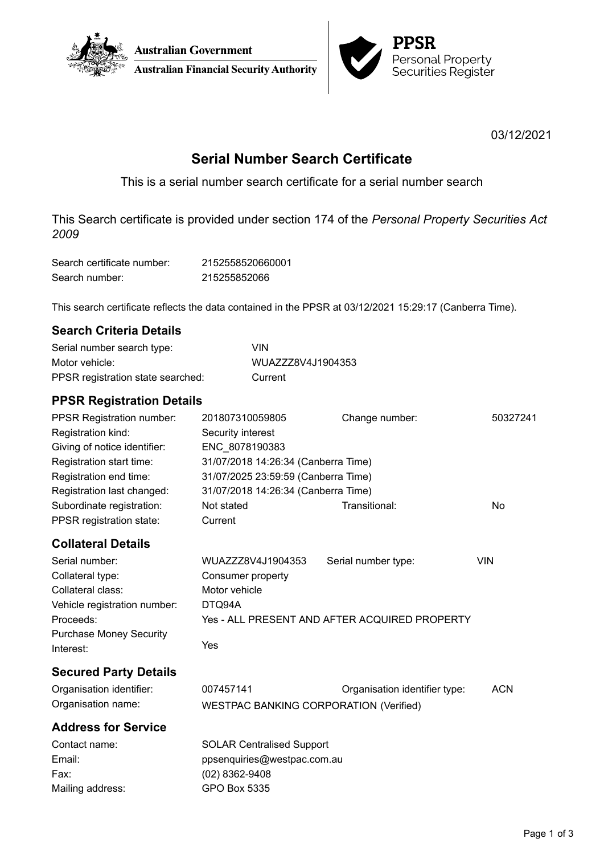



03/12/2021

# **Serial Number Search Certificate**

This is a serial number search certificate for a serial number search

This Search certificate is provided under section 174 of the *Personal Property Securities Act 2009*

| Search certificate number: | 2152558520660001 |
|----------------------------|------------------|
| Search number:             | 215255852066     |

This search certificate reflects the data contained in the PPSR at 03/12/2021 15:29:17 (Canberra Time).

## **Search Criteria Details**

| Serial number search type:        | VIN               |
|-----------------------------------|-------------------|
| Motor vehicle:                    | WUAZZZ8V4J1904353 |
| PPSR registration state searched: | Current           |

## **PPSR Registration Details**

| <b>PPSR Registration number:</b> | 201807310059805                     | Change number: | 50327241 |
|----------------------------------|-------------------------------------|----------------|----------|
| Registration kind:               | Security interest                   |                |          |
| Giving of notice identifier:     | ENC 8078190383                      |                |          |
| Registration start time:         | 31/07/2018 14:26:34 (Canberra Time) |                |          |
| Registration end time:           | 31/07/2025 23:59:59 (Canberra Time) |                |          |
| Registration last changed:       | 31/07/2018 14:26:34 (Canberra Time) |                |          |
| Subordinate registration:        | Not stated                          | Transitional:  | No       |
| PPSR registration state:         | Current                             |                |          |
|                                  |                                     |                |          |

## **Collateral Details**

| Serial number:                 | WUAZZZ8V4J1904353                             | Serial number type: | VIN |
|--------------------------------|-----------------------------------------------|---------------------|-----|
| Collateral type:               | Consumer property                             |                     |     |
| Collateral class:              | Motor vehicle                                 |                     |     |
| Vehicle registration number:   | DTQ94A                                        |                     |     |
| Proceeds:                      | Yes - ALL PRESENT AND AFTER ACQUIRED PROPERTY |                     |     |
| <b>Purchase Money Security</b> |                                               |                     |     |
| Interest:                      | Yes                                           |                     |     |

## **Secured Party Details**

| Organisation identifier: | 007457141                                     | Organisation identifier type: | <b>ACN</b> |
|--------------------------|-----------------------------------------------|-------------------------------|------------|
| Organisation name:       | <b>WESTPAC BANKING CORPORATION (Verified)</b> |                               |            |

## **Address for Service**

| Contact name:    | <b>SOLAR Centralised Support</b> |
|------------------|----------------------------------|
| Email:           | ppsenquiries@westpac.com.au      |
| Fax:             | $(02)$ 8362-9408                 |
| Mailing address: | GPO Box 5335                     |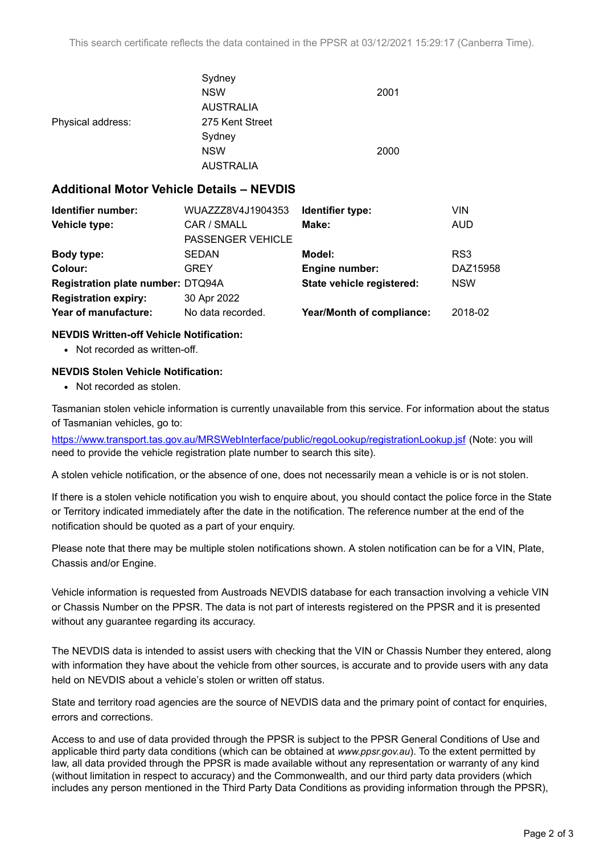|                   | Sydney           |      |
|-------------------|------------------|------|
|                   | <b>NSW</b>       | 2001 |
|                   | <b>AUSTRALIA</b> |      |
| Physical address: | 275 Kent Street  |      |
|                   | Sydney           |      |
|                   | <b>NSW</b>       | 2000 |
|                   | <b>AUSTRALIA</b> |      |

### **Additional Motor Vehicle Details – NEVDIS**

| Identifier number:                | WUAZZZ8V4J1904353        | Identifier type:          | VIN        |
|-----------------------------------|--------------------------|---------------------------|------------|
| Vehicle type:                     | CAR / SMALL              | Make:                     | <b>AUD</b> |
|                                   | <b>PASSENGER VEHICLE</b> |                           |            |
| <b>Body type:</b>                 | <b>SEDAN</b>             | Model:                    | RS3        |
| Colour:                           | <b>GREY</b>              | Engine number:            | DAZ15958   |
| Registration plate number: DTQ94A |                          | State vehicle registered: | <b>NSW</b> |
| <b>Registration expiry:</b>       | 30 Apr 2022              |                           |            |
| Year of manufacture:              | No data recorded.        | Year/Month of compliance: | 2018-02    |

### **NEVDIS Written-off Vehicle Notification:**

• Not recorded as written-off.

### **NEVDIS Stolen Vehicle Notification:**

• Not recorded as stolen.

Tasmanian stolen vehicle information is currently unavailable from this service. For information about the status of Tasmanian vehicles, go to:

<https://www.transport.tas.gov.au/MRSWebInterface/public/regoLookup/registrationLookup.jsf> (Note: you will need to provide the vehicle registration plate number to search this site).

A stolen vehicle notification, or the absence of one, does not necessarily mean a vehicle is or is not stolen.

If there is a stolen vehicle notification you wish to enquire about, you should contact the police force in the State or Territory indicated immediately after the date in the notification. The reference number at the end of the notification should be quoted as a part of your enquiry.

Please note that there may be multiple stolen notifications shown. A stolen notification can be for a VIN, Plate, Chassis and/or Engine.

Vehicle information is requested from Austroads NEVDIS database for each transaction involving a vehicle VIN or Chassis Number on the PPSR. The data is not part of interests registered on the PPSR and it is presented without any guarantee regarding its accuracy.

The NEVDIS data is intended to assist users with checking that the VIN or Chassis Number they entered, along with information they have about the vehicle from other sources, is accurate and to provide users with any data held on NEVDIS about a vehicle's stolen or written off status.

State and territory road agencies are the source of NEVDIS data and the primary point of contact for enquiries, errors and corrections.

Access to and use of data provided through the PPSR is subject to the PPSR General Conditions of Use and applicable third party data conditions (which can be obtained at *[www.ppsr.gov.au](http://www.ppsr.gov.au)*). To the extent permitted by law, all data provided through the PPSR is made available without any representation or warranty of any kind (without limitation in respect to accuracy) and the Commonwealth, and our third party data providers (which includes any person mentioned in the Third Party Data Conditions as providing information through the PPSR),